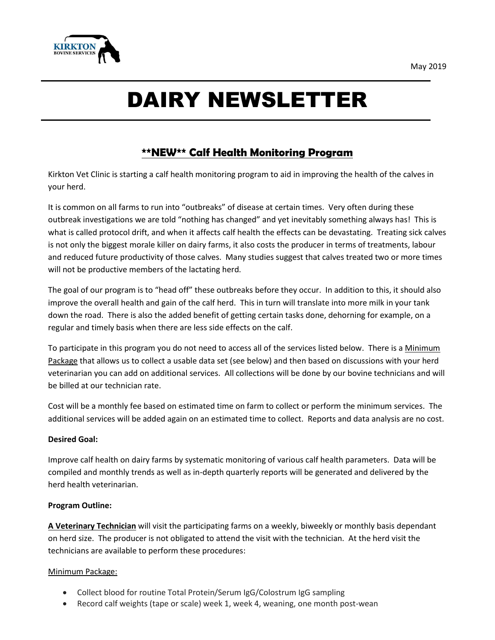

# DAIRY NEWSLETTER

## **\*\*NEW\*\* Calf Health Monitoring Program**

Kirkton Vet Clinic is starting a calf health monitoring program to aid in improving the health of the calves in your herd.

It is common on all farms to run into "outbreaks" of disease at certain times. Very often during these outbreak investigations we are told "nothing has changed" and yet inevitably something always has! This is what is called protocol drift, and when it affects calf health the effects can be devastating. Treating sick calves is not only the biggest morale killer on dairy farms, it also costs the producer in terms of treatments, labour and reduced future productivity of those calves. Many studies suggest that calves treated two or more times will not be productive members of the lactating herd.

The goal of our program is to "head off" these outbreaks before they occur. In addition to this, it should also improve the overall health and gain of the calf herd. This in turn will translate into more milk in your tank down the road. There is also the added benefit of getting certain tasks done, dehorning for example, on a regular and timely basis when there are less side effects on the calf.

To participate in this program you do not need to access all of the services listed below. There is a Minimum Package that allows us to collect a usable data set (see below) and then based on discussions with your herd veterinarian you can add on additional services. All collections will be done by our bovine technicians and will be billed at our technician rate.

Cost will be a monthly fee based on estimated time on farm to collect or perform the minimum services. The additional services will be added again on an estimated time to collect. Reports and data analysis are no cost.

#### **Desired Goal:**

Improve calf health on dairy farms by systematic monitoring of various calf health parameters. Data will be compiled and monthly trends as well as in-depth quarterly reports will be generated and delivered by the herd health veterinarian.

#### **Program Outline:**

**A Veterinary Technician** will visit the participating farms on a weekly, biweekly or monthly basis dependant on herd size. The producer is not obligated to attend the visit with the technician. At the herd visit the technicians are available to perform these procedures:

#### Minimum Package:

- Collect blood for routine Total Protein/Serum IgG/Colostrum IgG sampling
- Record calf weights (tape or scale) week 1, week 4, weaning, one month post-wean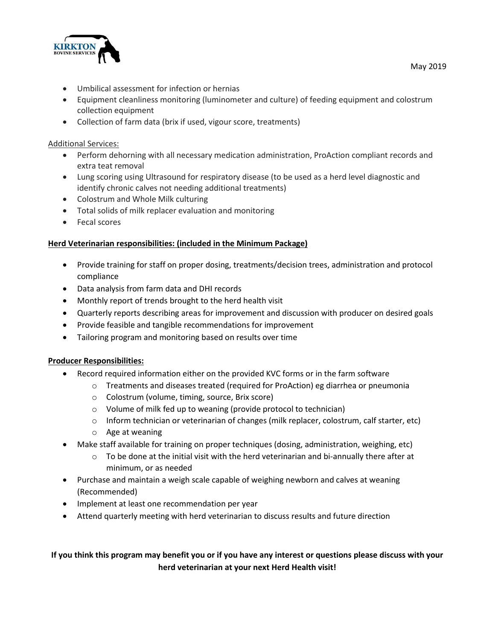

- Umbilical assessment for infection or hernias
- Equipment cleanliness monitoring (luminometer and culture) of feeding equipment and colostrum collection equipment
- Collection of farm data (brix if used, vigour score, treatments)

#### Additional Services:

- Perform dehorning with all necessary medication administration, ProAction compliant records and extra teat removal
- Lung scoring using Ultrasound for respiratory disease (to be used as a herd level diagnostic and identify chronic calves not needing additional treatments)
- Colostrum and Whole Milk culturing
- Total solids of milk replacer evaluation and monitoring
- Fecal scores

#### **Herd Veterinarian responsibilities: (included in the Minimum Package)**

- Provide training for staff on proper dosing, treatments/decision trees, administration and protocol compliance
- Data analysis from farm data and DHI records
- Monthly report of trends brought to the herd health visit
- Quarterly reports describing areas for improvement and discussion with producer on desired goals
- Provide feasible and tangible recommendations for improvement
- Tailoring program and monitoring based on results over time

#### **Producer Responsibilities:**

- Record required information either on the provided KVC forms or in the farm software
	- $\circ$  Treatments and diseases treated (required for ProAction) eg diarrhea or pneumonia
		- o Colostrum (volume, timing, source, Brix score)
		- o Volume of milk fed up to weaning (provide protocol to technician)
		- o Inform technician or veterinarian of changes (milk replacer, colostrum, calf starter, etc)
		- o Age at weaning
- Make staff available for training on proper techniques (dosing, administration, weighing, etc)
	- $\circ$  To be done at the initial visit with the herd veterinarian and bi-annually there after at minimum, or as needed
- Purchase and maintain a weigh scale capable of weighing newborn and calves at weaning (Recommended)
- Implement at least one recommendation per year
- Attend quarterly meeting with herd veterinarian to discuss results and future direction

### **If you think this program may benefit you or if you have any interest or questions please discuss with your herd veterinarian at your next Herd Health visit!**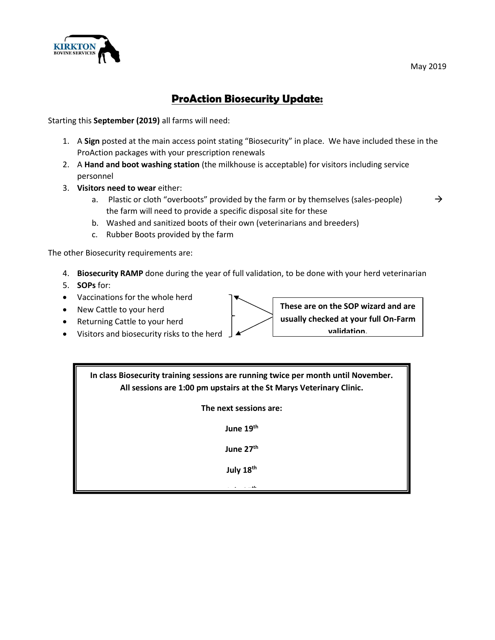

## **ProAction Biosecurity Update:**

Starting this **September (2019)** all farms will need:

- 1. A **Sign** posted at the main access point stating "Biosecurity" in place. We have included these in the ProAction packages with your prescription renewals
- 2. A **Hand and boot washing station** (the milkhouse is acceptable) for visitors including service personnel
- 3. **Visitors need to wear** either:
	- a. Plastic or cloth "overboots" provided by the farm or by themselves (sales-people)  $\rightarrow$ the farm will need to provide a specific disposal site for these
		-

- b. Washed and sanitized boots of their own (veterinarians and breeders)
- c. Rubber Boots provided by the farm

The other Biosecurity requirements are:

- 4. **Biosecurity RAMP** done during the year of full validation, to be done with your herd veterinarian
- 5. **SOPs** for:
- Vaccinations for the whole herd
- New Cattle to your herd
- Returning Cattle to your herd
- Visitors and biosecurity risks to the herd

**These are on the SOP wizard and are usually checked at your full On-Farm validation.**

**In class Biosecurity training sessions are running twice per month until November. All sessions are 1:00 pm upstairs at the St Marys Veterinary Clinic.**

**The next sessions are:**

**June 19th**

**June 27th**

**July 18th**

**July 25th**